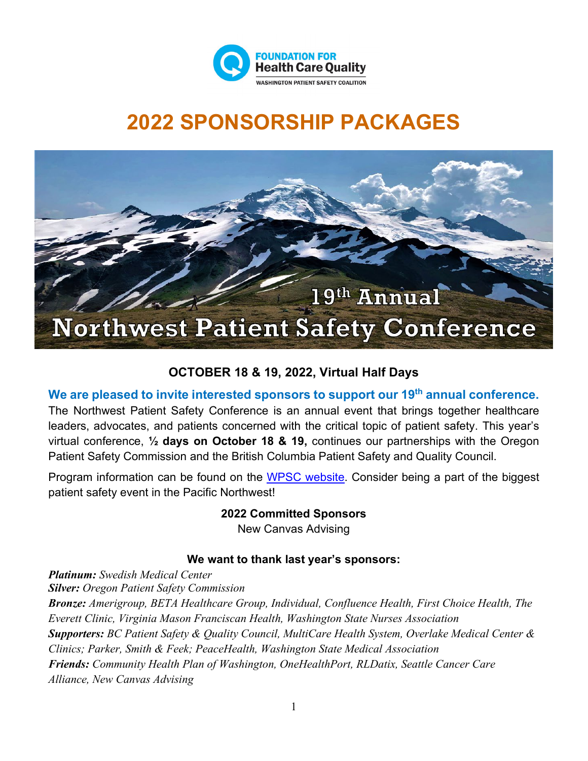

## **2022 SPONSORSHIP PACKAGES**



## **OCTOBER 18 & 19, 2022, Virtual Half Days**

#### **We are pleased to invite interested sponsors to support our 19th annual conference.**

The Northwest Patient Safety Conference is an annual event that brings together healthcare leaders, advocates, and patients concerned with the critical topic of patient safety. This year's virtual conference, **½ days on October 18 & 19,** continues our partnerships with the Oregon Patient Safety Commission and the British Columbia Patient Safety and Quality Council.

Program information can be found on the [WPSC website.](https://www.qualityhealth.org/wpsc/wpsc-events/patient-safety-conference/) Consider being a part of the biggest patient safety event in the Pacific Northwest!

**2022 Committed Sponsors**

New Canvas Advising

### **We want to thank last year's sponsors:**

*Platinum: Swedish Medical Center Silver: Oregon Patient Safety Commission Bronze: Amerigroup, BETA Healthcare Group, Individual, Confluence Health, First Choice Health, The Everett Clinic, Virginia Mason Franciscan Health, Washington State Nurses Association Supporters: BC Patient Safety & Quality Council, MultiCare Health System, Overlake Medical Center & Clinics; Parker, Smith & Feek; PeaceHealth, Washington State Medical Association Friends: Community Health Plan of Washington, OneHealthPort, RLDatix, Seattle Cancer Care Alliance, New Canvas Advising*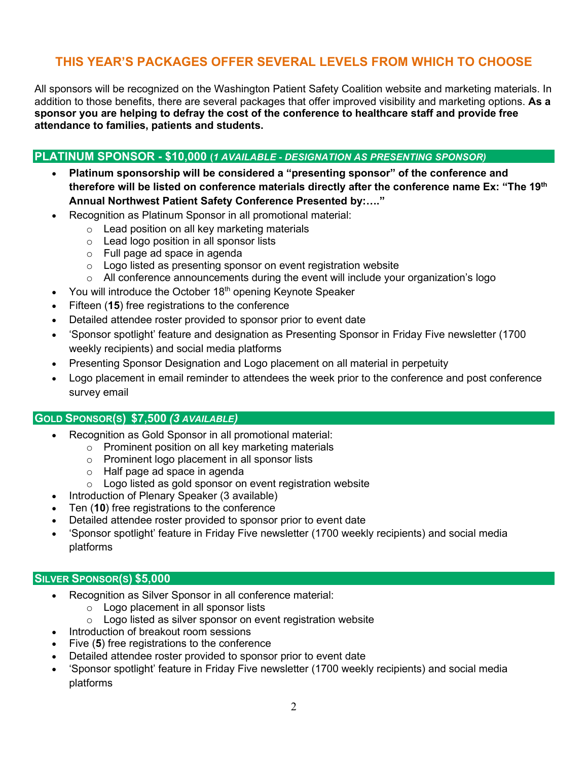## **THIS YEAR'S PACKAGES OFFER SEVERAL LEVELS FROM WHICH TO CHOOSE**

All sponsors will be recognized on the Washington Patient Safety Coalition website and marketing materials. In addition to those benefits, there are several packages that offer improved visibility and marketing options. **As a sponsor you are helping to defray the cost of the conference to healthcare staff and provide free attendance to families, patients and students.**

#### **PLATINUM SPONSOR - \$10,000 (***1 AVAILABLE - DESIGNATION AS PRESENTING SPONSOR)*

- **Platinum sponsorship will be considered a "presenting sponsor" of the conference and therefore will be listed on conference materials directly after the conference name Ex: "The 19th Annual Northwest Patient Safety Conference Presented by:…."**
- Recognition as Platinum Sponsor in all promotional material:
	- o Lead position on all key marketing materials
	- o Lead logo position in all sponsor lists
	- o Full page ad space in agenda
	- $\circ$  Logo listed as presenting sponsor on event registration website
	- $\circ$  All conference announcements during the event will include your organization's logo
- You will introduce the October  $18<sup>th</sup>$  opening Keynote Speaker
- Fifteen (15) free registrations to the conference
- Detailed attendee roster provided to sponsor prior to event date
- 'Sponsor spotlight' feature and designation as Presenting Sponsor in Friday Five newsletter (1700 weekly recipients) and social media platforms
- Presenting Sponsor Designation and Logo placement on all material in perpetuity
- Logo placement in email reminder to attendees the week prior to the conference and post conference survey email

#### **GOLD SPONSOR(S) \$7,500** *(3 AVAILABLE)*

- Recognition as Gold Sponsor in all promotional material:
	- o Prominent position on all key marketing materials
	- o Prominent logo placement in all sponsor lists
	- o Half page ad space in agenda
	- o Logo listed as gold sponsor on event registration website
- Introduction of Plenary Speaker (3 available)
- Ten (**10**) free registrations to the conference
- Detailed attendee roster provided to sponsor prior to event date
- 'Sponsor spotlight' feature in Friday Five newsletter (1700 weekly recipients) and social media platforms

#### **SILVER SPONSOR(S) \$5,000**

- Recognition as Silver Sponsor in all conference material:
	- o Logo placement in all sponsor lists
	- $\circ$  Logo listed as silver sponsor on event registration website
- Introduction of breakout room sessions
- Five (5) free registrations to the conference
- Detailed attendee roster provided to sponsor prior to event date
- 'Sponsor spotlight' feature in Friday Five newsletter (1700 weekly recipients) and social media platforms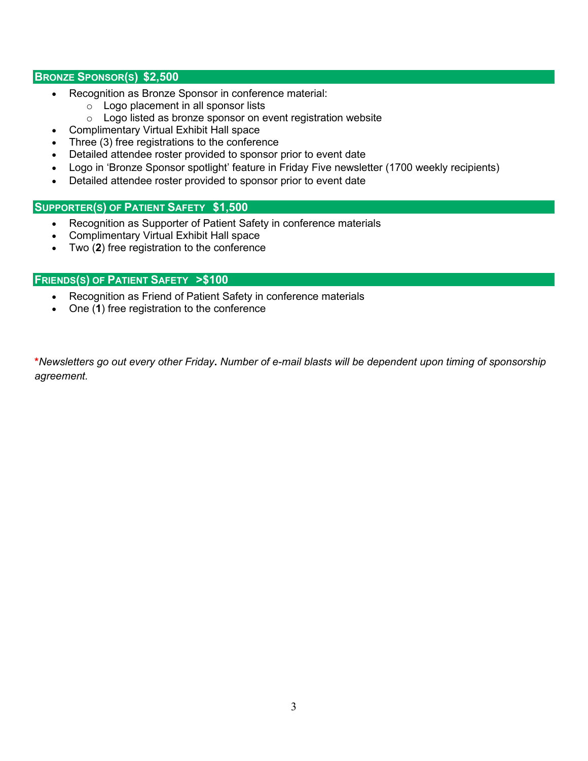#### **BRONZE SPONSOR(S) \$2,500**

- Recognition as Bronze Sponsor in conference material:
	- o Logo placement in all sponsor lists
	- o Logo listed as bronze sponsor on event registration website
- Complimentary Virtual Exhibit Hall space
- Three (3) free registrations to the conference
- Detailed attendee roster provided to sponsor prior to event date
- Logo in 'Bronze Sponsor spotlight' feature in Friday Five newsletter (1700 weekly recipients)
- Detailed attendee roster provided to sponsor prior to event date

#### **SUPPORTER(S) OF PATIENT SAFETY \$1,500**

- Recognition as Supporter of Patient Safety in conference materials
- Complimentary Virtual Exhibit Hall space
- Two (**2**) free registration to the conference

#### **FRIENDS(S) OF PATIENT SAFETY >\$100**

- Recognition as Friend of Patient Safety in conference materials
- One (**1**) free registration to the conference

**\****Newsletters go out every other Friday***.** *Number of e-mail blasts will be dependent upon timing of sponsorship agreement.*